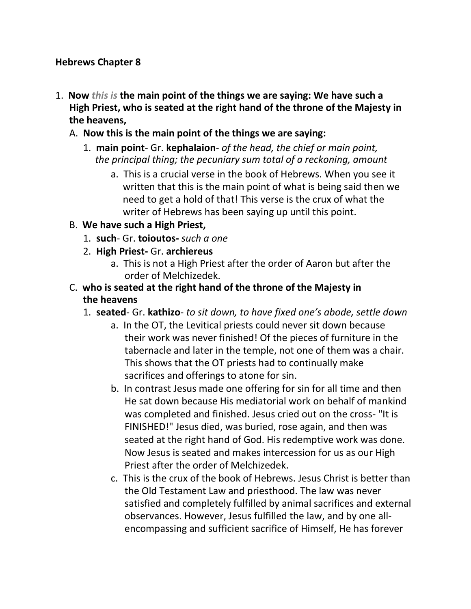#### **Hebrews Chapter 8**

- 1. **Now** *this is* **the main point of the things we are saying: We have such a High Priest, who is seated at the right hand of the throne of the Majesty in the heavens,**
	- A. **Now this is the main point of the things we are saying:**
		- 1. **main point** Gr. **kephalaion** *of the head, the chief or main point, the principal thing; the pecuniary sum total of a reckoning, amount*
			- a. This is a crucial verse in the book of Hebrews. When you see it written that this is the main point of what is being said then we need to get a hold of that! This verse is the crux of what the writer of Hebrews has been saying up until this point.
	- B. **We have such a High Priest,**
		- 1. **such** Gr. **toioutos-** *such a one*
		- 2. **High Priest-** Gr. **archiereus**
			- a. This is not a High Priest after the order of Aaron but after the order of Melchizedek.
	- C. **who is seated at the right hand of the throne of the Majesty in the heavens**
		- 1. **seated** Gr. **kathizo** *to sit down, to have fixed one's abode, settle down*
			- a. In the OT, the Levitical priests could never sit down because their work was never finished! Of the pieces of furniture in the tabernacle and later in the temple, not one of them was a chair. This shows that the OT priests had to continually make sacrifices and offerings to atone for sin.
			- b. In contrast Jesus made one offering for sin for all time and then He sat down because His mediatorial work on behalf of mankind was completed and finished. Jesus cried out on the cross- "It is FINISHED!" Jesus died, was buried, rose again, and then was seated at the right hand of God. His redemptive work was done. Now Jesus is seated and makes intercession for us as our High Priest after the order of Melchizedek.
			- c. This is the crux of the book of Hebrews. Jesus Christ is better than the Old Testament Law and priesthood. The law was never satisfied and completely fulfilled by animal sacrifices and external observances. However, Jesus fulfilled the law, and by one allencompassing and sufficient sacrifice of Himself, He has forever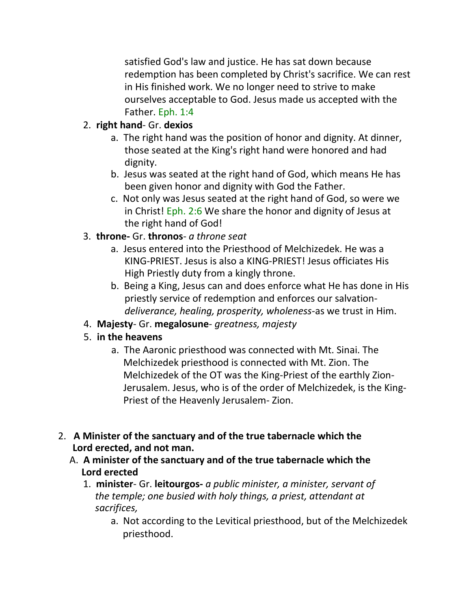satisfied God's law and justice. He has sat down because redemption has been completed by Christ's sacrifice. We can rest in His finished work. We no longer need to strive to make ourselves acceptable to God. Jesus made us accepted with the Father. Eph. 1:4

## 2. **right hand**- Gr. **dexios**

- a. The right hand was the position of honor and dignity. At dinner, those seated at the King's right hand were honored and had dignity.
- b. Jesus was seated at the right hand of God, which means He has been given honor and dignity with God the Father.
- c. Not only was Jesus seated at the right hand of God, so were we in Christ! Eph. 2:6 We share the honor and dignity of Jesus at the right hand of God!

## 3. **throne-** Gr. **thronos**- *a throne seat*

- a. Jesus entered into the Priesthood of Melchizedek. He was a KING-PRIEST. Jesus is also a KING-PRIEST! Jesus officiates His High Priestly duty from a kingly throne.
- b. Being a King, Jesus can and does enforce what He has done in His priestly service of redemption and enforces our salvation*deliverance, healing, prosperity, wholeness*-as we trust in Him.
- 4. **Majesty** Gr. **megalosune** *greatness, majesty*

# 5. **in the heavens**

- a. The Aaronic priesthood was connected with Mt. Sinai. The Melchizedek priesthood is connected with Mt. Zion. The Melchizedek of the OT was the King-Priest of the earthly Zion- Jerusalem. Jesus, who is of the order of Melchizedek, is the King- Priest of the Heavenly Jerusalem- Zion.
- 2. **A Minister of the sanctuary and of the true tabernacle which the Lord erected, and not man.**
	- A. **A minister of the sanctuary and of the true tabernacle which the Lord erected**
		- 1. **minister** Gr. **leitourgos-** *a public minister, a minister, servant of the temple; one busied with holy things, a priest, attendant at sacrifices,*
			- a. Not according to the Levitical priesthood, but of the Melchizedek priesthood.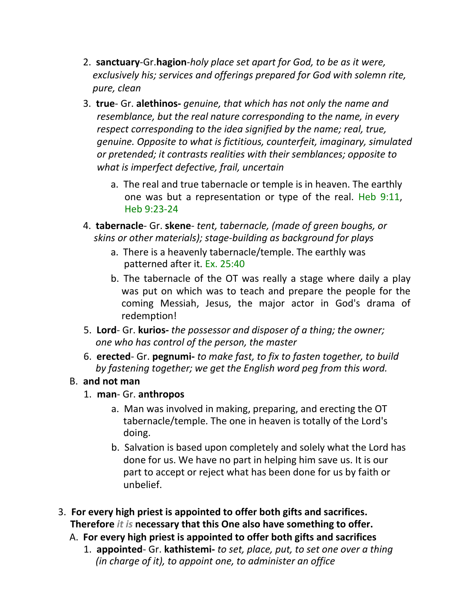- 2. **sanctuary**-Gr.**hagion**-*holy place set apart for God, to be as it were, exclusively his; services and offerings prepared for God with solemn rite, pure, clean*
- 3. **true** Gr. **alethinos-** *genuine, that which has not only the name and resemblance, but the real nature corresponding to the name, in every respect corresponding to the idea signified by the name; real, true, genuine. Opposite to what is fictitious, counterfeit, imaginary, simulated or pretended; it contrasts realities with their semblances; opposite to what is imperfect defective, frail, uncertain*
	- a. The real and true tabernacle or temple is in heaven. The earthly one was but a representation or type of the real. Heb 9:11, Heb 9:23-24
- 4. **tabernacle** Gr. **skene** *tent, tabernacle, (made of green boughs, or skins or other materials); stage-building as background for plays*
	- a. There is a heavenly tabernacle/temple. The earthly was patterned after it. Ex. 25:40
	- b. The tabernacle of the OT was really a stage where daily a play was put on which was to teach and prepare the people for the coming Messiah, Jesus, the major actor in God's drama of redemption!
- 5. **Lord** Gr. **kurios-** *the possessor and disposer of a thing; the owner; one who has control of the person, the master*
- 6. **erected** Gr. **pegnumi-** *to make fast, to fix to fasten together, to build by fastening together; we get the English word peg from this word.*

#### B. **and not man**

- 1. **man** Gr. **anthropos**
	- a. Man was involved in making, preparing, and erecting the OT tabernacle/temple. The one in heaven is totally of the Lord's doing.
	- b. Salvation is based upon completely and solely what the Lord has done for us. We have no part in helping him save us. It is our part to accept or reject what has been done for us by faith or unbelief.
- 3. **For every high priest is appointed to offer both gifts and sacrifices. Therefore** *it is* **necessary that this One also have something to offer.**
	- A. **For every high priest is appointed to offer both gifts and sacrifices**
		- 1. **appointed** Gr. **kathistemi-** *to set, place, put, to set one over a thing (in charge of it), to appoint one, to administer an office*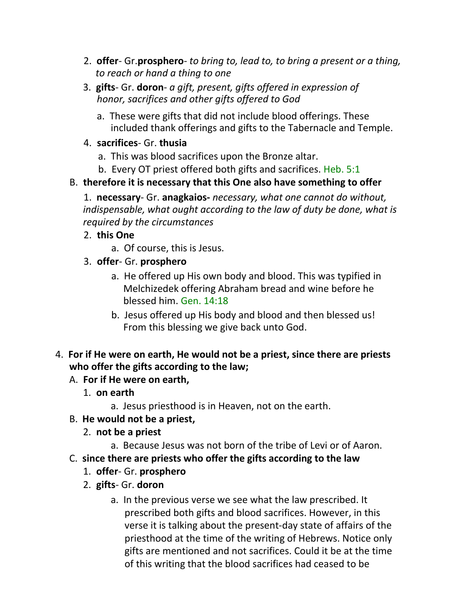- 2. **offer** Gr.**prosphero** *to bring to, lead to, to bring a present or a thing, to reach or hand a thing to one*
- 3. **gifts** Gr. **doron** *a gift, present, gifts offered in expression of honor, sacrifices and other gifts offered to God*
	- a. These were gifts that did not include blood offerings. These included thank offerings and gifts to the Tabernacle and Temple.
- 4. **sacrifices** Gr. **thusia**
	- a. This was blood sacrifices upon the Bronze altar.
	- b. Every OT priest offered both gifts and sacrifices. Heb. 5:1

## B. **therefore it is necessary that this One also have something to offer**

1. **necessary**- Gr. **anagkaios-** *necessary, what one cannot do without, indispensable, what ought according to the law of duty be done, what is required by the circumstances*

- 2. **this One**
	- a. Of course, this is Jesus.
- 3. **offer** Gr. **prosphero**
	- a. He offered up His own body and blood. This was typified in Melchizedek offering Abraham bread and wine before he blessed him. Gen. 14:18
	- b. Jesus offered up His body and blood and then blessed us! From this blessing we give back unto God.
- 4. **For if He were on earth, He would not be a priest, since there are priests who offer the gifts according to the law;**

### A. **For if He were on earth,**

- 1. **on earth**
	- a. Jesus priesthood is in Heaven, not on the earth.
- B. **He would not be a priest,**
	- 2. **not be a priest**
		- a. Because Jesus was not born of the tribe of Levi or of Aaron.
- C. **since there are priests who offer the gifts according to the law**
	- 1. **offer** Gr. **prosphero**
	- 2. **gifts** Gr. **doron**
		- a. In the previous verse we see what the law prescribed. It prescribed both gifts and blood sacrifices. However, in this verse it is talking about the present-day state of affairs of the priesthood at the time of the writing of Hebrews. Notice only gifts are mentioned and not sacrifices. Could it be at the time of this writing that the blood sacrifices had ceased to be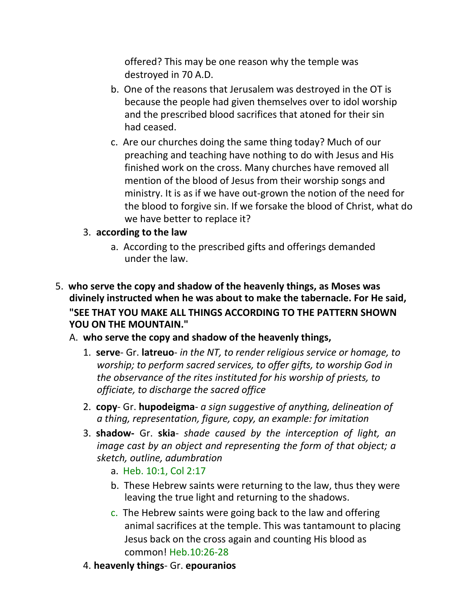offered? This may be one reason why the temple was destroyed in 70 A.D.

- b. One of the reasons that Jerusalem was destroyed in the OT is because the people had given themselves over to idol worship and the prescribed blood sacrifices that atoned for their sin had ceased.
- c. Are our churches doing the same thing today? Much of our preaching and teaching have nothing to do with Jesus and His finished work on the cross. Many churches have removed all mention of the blood of Jesus from their worship songs and ministry. It is as if we have out-grown the notion of the need for the blood to forgive sin. If we forsake the blood of Christ, what do we have better to replace it?
- 3. **according to the law**
	- a. According to the prescribed gifts and offerings demanded under the law.
- 5. **who serve the copy and shadow of the heavenly things, as Moses was divinely instructed when he was about to make the tabernacle. For He said, "SEE THAT YOU MAKE ALL THINGS ACCORDING TO THE PATTERN SHOWN YOU ON THE MOUNTAIN."**
	- A. **who serve the copy and shadow of the heavenly things,**
		- 1. **serve** Gr. **latreuo** *in the NT, to render religious service or homage, to worship; to perform sacred services, to offer gifts, to worship God in the observance of the rites instituted for his worship of priests, to officiate, to discharge the sacred office*
		- 2. **copy** Gr. **hupodeigma** *a sign suggestive of anything, delineation of a thing, representation, figure, copy, an example: for imitation*
		- 3. **shadow-** Gr. **skia** *shade caused by the interception of light, an image cast by an object and representing the form of that object; a sketch, outline, adumbration*
			- a. Heb. 10:1, Col 2:17
			- b. These Hebrew saints were returning to the law, thus they were leaving the true light and returning to the shadows.
			- c. The Hebrew saints were going back to the law and offering animal sacrifices at the temple. This was tantamount to placing Jesus back on the cross again and counting His blood as common! Heb.10:26-28
		- 4. **heavenly things** Gr. **epouranios**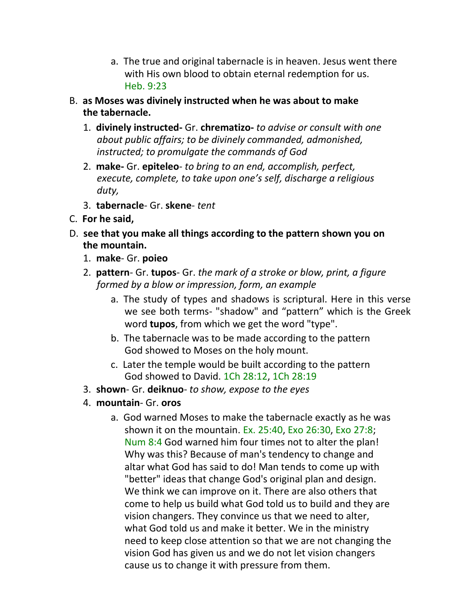- a. The true and original tabernacle is in heaven. Jesus went there with His own blood to obtain eternal redemption for us. Heb. 9:23
- B. **as Moses was divinely instructed when he was about to make the tabernacle.**
	- 1. **divinely instructed-** Gr. **chrematizo-** *to advise or consult with one about public affairs; to be divinely commanded, admonished, instructed; to promulgate the commands of God*
	- 2. **make-** Gr. **epiteleo** *to bring to an end, accomplish, perfect, execute, complete, to take upon one's self, discharge a religious duty,*
	- 3. **tabernacle** Gr. **skene** *tent*
- C. **For he said,**
- D. **see that you make all things according to the pattern shown you on the mountain.**
	- 1. **make** Gr. **poieo**
	- 2. **pattern** Gr. **tupos** Gr. *the mark of a stroke or blow, print, a figure formed by a blow or impression, form, an example*
		- a. The study of types and shadows is scriptural. Here in this verse we see both terms- "shadow" and "pattern" which is the Greek word **tupos**, from which we get the word "type".
		- b. The tabernacle was to be made according to the pattern God showed to Moses on the holy mount.
		- c. Later the temple would be built according to the pattern God showed to David. 1Ch 28:12, 1Ch 28:19
	- 3. **shown** Gr. **deiknuo** *to show, expose to the eyes*
	- 4. **mountain** Gr. **oros**
		- a. God warned Moses to make the tabernacle exactly as he was shown it on the mountain. Ex. 25:40, Exo 26:30, Exo 27:8; Num 8:4 God warned him four times not to alter the plan! Why was this? Because of man's tendency to change and altar what God has said to do! Man tends to come up with "better" ideas that change God's original plan and design. We think we can improve on it. There are also others that come to help us build what God told us to build and they are vision changers. They convince us that we need to alter, what God told us and make it better. We in the ministry need to keep close attention so that we are not changing the vision God has given us and we do not let vision changers cause us to change it with pressure from them.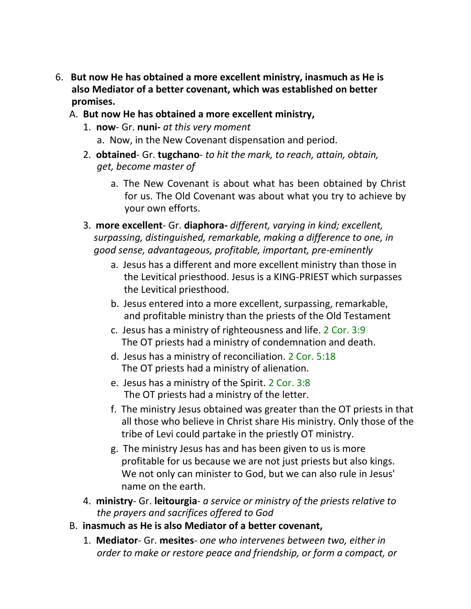- 6. **But now He has obtained a more excellent ministry, inasmuch as He is also Mediator of a better covenant, which was established on better promises.** 
	- A. **But now He has obtained a more excellent ministry,**
		- 1. **now** Gr. **nuni-** *at this very moment*
			- a. Now, in the New Covenant dispensation and period.
		- 2. **obtained** Gr. **tugchano** *to hit the mark, to reach, attain, obtain, get, become master of*
			- a. The New Covenant is about what has been obtained by Christ for us. The Old Covenant was about what you try to achieve by your own efforts.
		- 3. **more excellent** Gr. **diaphora-** *different, varying in kind; excellent, surpassing, distinguished, remarkable, making a difference to one, in good sense, advantageous, profitable, important, pre-eminently*
			- a. Jesus has a different and more excellent ministry than those in the Levitical priesthood. Jesus is a KING-PRIEST which surpasses the Levitical priesthood.
			- b. Jesus entered into a more excellent, surpassing, remarkable, and profitable ministry than the priests of the Old Testament
			- c. Jesus has a ministry of righteousness and life. 2 Cor. 3:9 The OT priests had a ministry of condemnation and death.
			- d. Jesus has a ministry of reconciliation. 2 Cor. 5:18 The OT priests had a ministry of alienation.
			- e. Jesus has a ministry of the Spirit. 2 Cor. 3:8 The OT priests had a ministry of the letter.
			- f. The ministry Jesus obtained was greater than the OT priests in that all those who believe in Christ share His ministry. Only those of the tribe of Levi could partake in the priestly OT ministry.
			- g. The ministry Jesus has and has been given to us is more profitable for us because we are not just priests but also kings. We not only can minister to God, but we can also rule in Jesus' name on the earth.
		- 4. **ministry** Gr. **leitourgia** *a service or ministry of the priests relative to the prayers and sacrifices offered to God*
	- B. **inasmuch as He is also Mediator of a better covenant,**
		- 1. **Mediator** Gr. **mesites** *one who intervenes between two, either in order to make or restore peace and friendship, or form a compact, or*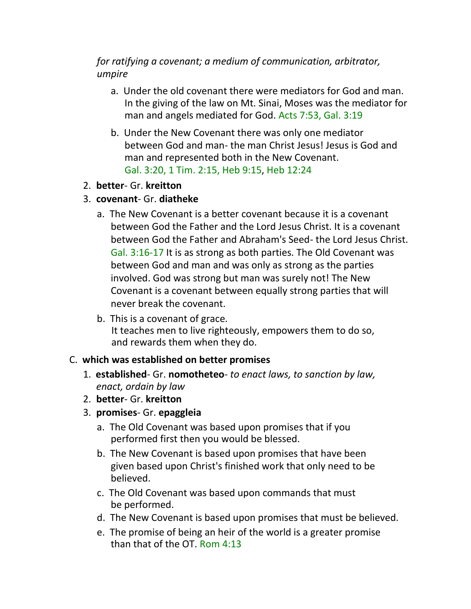*for ratifying a covenant; a medium of communication, arbitrator, umpire*

- a. Under the old covenant there were mediators for God and man. In the giving of the law on Mt. Sinai, Moses was the mediator for man and angels mediated for God. Acts 7:53, Gal. 3:19
- b. Under the New Covenant there was only one mediator between God and man- the man Christ Jesus! Jesus is God and man and represented both in the New Covenant. Gal. 3:20, 1 Tim. 2:15, Heb 9:15, Heb 12:24
- 2. **better** Gr. **kreitton**
- 3. **covenant** Gr. **diatheke**
	- a. The New Covenant is a better covenant because it is a covenant between God the Father and the Lord Jesus Christ. It is a covenant between God the Father and Abraham's Seed- the Lord Jesus Christ. Gal. 3:16-17 It is as strong as both parties. The Old Covenant was between God and man and was only as strong as the parties involved. God was strong but man was surely not! The New Covenant is a covenant between equally strong parties that will never break the covenant.
	- b. This is a covenant of grace. It teaches men to live righteously, empowers them to do so, and rewards them when they do.

#### C. **which was established on better promises**

- 1. **established** Gr. **nomotheteo** *to enact laws, to sanction by law, enact, ordain by law*
- 2. **better** Gr. **kreitton**
- 3. **promises** Gr. **epaggleia**
	- a. The Old Covenant was based upon promises that if you performed first then you would be blessed.
	- b. The New Covenant is based upon promises that have been given based upon Christ's finished work that only need to be believed.
	- c. The Old Covenant was based upon commands that must be performed.
	- d. The New Covenant is based upon promises that must be believed.
	- e. The promise of being an heir of the world is a greater promise than that of the OT. Rom 4:13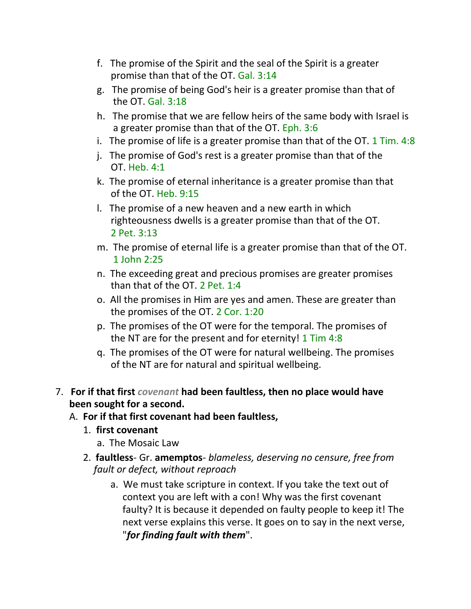- f. The promise of the Spirit and the seal of the Spirit is a greater promise than that of the OT. Gal. 3:14
- g. The promise of being God's heir is a greater promise than that of the OT. Gal. 3:18
- h. The promise that we are fellow heirs of the same body with Israel is a greater promise than that of the OT. Eph. 3:6
- i. The promise of life is a greater promise than that of the OT.  $1$  Tim. 4:8
- j. The promise of God's rest is a greater promise than that of the OT. Heb. 4:1
- k. The promise of eternal inheritance is a greater promise than that of the OT. Heb. 9:15
- l. The promise of a new heaven and a new earth in which righteousness dwells is a greater promise than that of the OT. 2 Pet. 3:13
- m. The promise of eternal life is a greater promise than that of the OT. 1 John 2:25
- n. The exceeding great and precious promises are greater promises than that of the OT. 2 Pet. 1:4
- o. All the promises in Him are yes and amen. These are greater than the promises of the OT. 2 Cor. 1:20
- p. The promises of the OT were for the temporal. The promises of the NT are for the present and for eternity! 1 Tim 4:8
- q. The promises of the OT were for natural wellbeing. The promises of the NT are for natural and spiritual wellbeing.
- 7. **For if that first** *covenant* **had been faultless, then no place would have been sought for a second.**
	- A. **For if that first covenant had been faultless,**
		- 1. **first covenant**
			- a. The Mosaic Law
		- 2. **faultless** Gr. **amemptos** *blameless, deserving no censure, free from fault or defect, without reproach*
			- a. We must take scripture in context. If you take the text out of context you are left with a con! Why was the first covenant faulty? It is because it depended on faulty people to keep it! The next verse explains this verse. It goes on to say in the next verse, "*for finding fault with them*".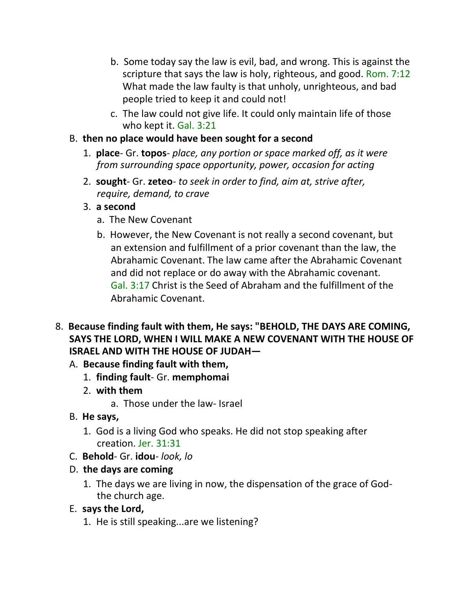- b. Some today say the law is evil, bad, and wrong. This is against the scripture that says the law is holy, righteous, and good. Rom. 7:12 What made the law faulty is that unholy, unrighteous, and bad people tried to keep it and could not!
- c. The law could not give life. It could only maintain life of those who kept it. Gal. 3:21
- B. **then no place would have been sought for a second**
	- 1. **place** Gr. **topos** *place, any portion or space marked off, as it were from surrounding space opportunity, power, occasion for acting*
	- 2. **sought** Gr. **zeteo** *to seek in order to find, aim at, strive after, require, demand, to crave*
	- 3. **a second**
		- a. The New Covenant
		- b. However, the New Covenant is not really a second covenant, but an extension and fulfillment of a prior covenant than the law, the Abrahamic Covenant. The law came after the Abrahamic Covenant and did not replace or do away with the Abrahamic covenant. Gal. 3:17 Christ is the Seed of Abraham and the fulfillment of the Abrahamic Covenant.
- 8. **Because finding fault with them, He says: "BEHOLD, THE DAYS ARE COMING, SAYS THE LORD, WHEN I WILL MAKE A NEW COVENANT WITH THE HOUSE OF ISRAEL AND WITH THE HOUSE OF JUDAH—**
	- A. **Because finding fault with them,**
		- 1. **finding fault** Gr. **memphomai**
		- 2. **with them**
			- a. Those under the law- Israel
	- B. **He says,**
		- 1. God is a living God who speaks. He did not stop speaking after creation. Jer. 31:31
	- C. **Behold** Gr. **idou** *look, lo*
	- D. **the days are coming**
		- 1. The days we are living in now, the dispensation of the grace of Godthe church age.
	- E. **says the Lord,**
		- 1. He is still speaking...are we listening?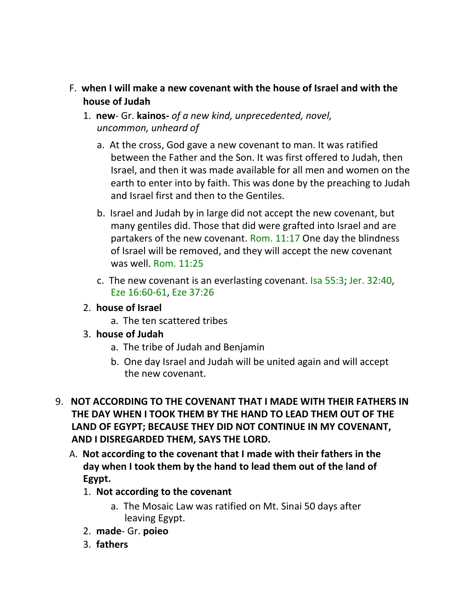- F. **when I will make a new covenant with the house of Israel and with the house of Judah**
	- 1. **new** Gr. **kainos-** *of a new kind, unprecedented, novel, uncommon, unheard of*
		- a. At the cross, God gave a new covenant to man. It was ratified between the Father and the Son. It was first offered to Judah, then Israel, and then it was made available for all men and women on the earth to enter into by faith. This was done by the preaching to Judah and Israel first and then to the Gentiles.
		- b. Israel and Judah by in large did not accept the new covenant, but many gentiles did. Those that did were grafted into Israel and are partakers of the new covenant. Rom. 11:17 One day the blindness of Israel will be removed, and they will accept the new covenant was well. Rom. 11:25
		- c. The new covenant is an everlasting covenant. Isa 55:3; Jer. 32:40, Eze 16:60-61, Eze 37:26
	- 2. **house of Israel**
		- a. The ten scattered tribes
	- 3. **house of Judah**
		- a. The tribe of Judah and Benjamin
		- b. One day Israel and Judah will be united again and will accept the new covenant.
- 9. **NOT ACCORDING TO THE COVENANT THAT I MADE WITH THEIR FATHERS IN THE DAY WHEN I TOOK THEM BY THE HAND TO LEAD THEM OUT OF THE LAND OF EGYPT; BECAUSE THEY DID NOT CONTINUE IN MY COVENANT, AND I DISREGARDED THEM, SAYS THE LORD.**
	- A. **Not according to the covenant that I made with their fathers in the day when I took them by the hand to lead them out of the land of Egypt.**
		- 1. **Not according to the covenant**
			- a. The Mosaic Law was ratified on Mt. Sinai 50 days after leaving Egypt.
		- 2. **made** Gr. **poieo**
		- 3. **fathers**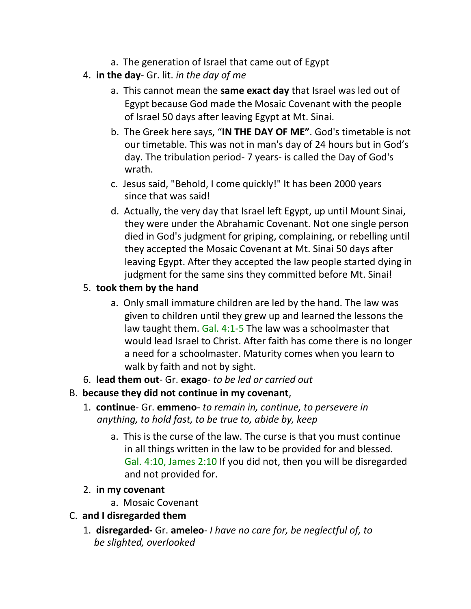- a. The generation of Israel that came out of Egypt
- 4. **in the day** Gr. lit. *in the day of me*
	- a. This cannot mean the **same exact day** that Israel was led out of Egypt because God made the Mosaic Covenant with the people of Israel 50 days after leaving Egypt at Mt. Sinai.
	- b. The Greek here says, "**IN THE DAY OF ME"**. God's timetable is not our timetable. This was not in man's day of 24 hours but in God's day. The tribulation period- 7 years- is called the Day of God's wrath.
	- c. Jesus said, "Behold, I come quickly!" It has been 2000 years since that was said!
	- d. Actually, the very day that Israel left Egypt, up until Mount Sinai, they were under the Abrahamic Covenant. Not one single person died in God's judgment for griping, complaining, or rebelling until they accepted the Mosaic Covenant at Mt. Sinai 50 days after leaving Egypt. After they accepted the law people started dying in judgment for the same sins they committed before Mt. Sinai!

## 5. **took them by the hand**

- a. Only small immature children are led by the hand. The law was given to children until they grew up and learned the lessons the law taught them. Gal. 4:1-5 The law was a schoolmaster that would lead Israel to Christ. After faith has come there is no longer a need for a schoolmaster. Maturity comes when you learn to walk by faith and not by sight.
- 6. **lead them out** Gr. **exago** *to be led or carried out*
- B. **because they did not continue in my covenant**,
	- 1. **continue** Gr. **emmeno** *to remain in, continue, to persevere in anything, to hold fast, to be true to, abide by, keep*
		- a. This is the curse of the law. The curse is that you must continue in all things written in the law to be provided for and blessed. Gal. 4:10, James 2:10 If you did not, then you will be disregarded and not provided for.
	- 2. **in my covenant**
		- a. Mosaic Covenant
- C. **and I disregarded them**
	- 1. **disregarded-** Gr. **ameleo** *I have no care for, be neglectful of, to be slighted, overlooked*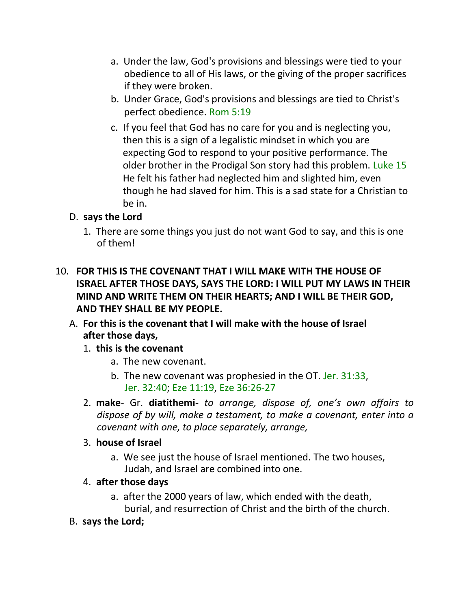- a. Under the law, God's provisions and blessings were tied to your obedience to all of His laws, or the giving of the proper sacrifices if they were broken.
- b. Under Grace, God's provisions and blessings are tied to Christ's perfect obedience. Rom 5:19
- c. If you feel that God has no care for you and is neglecting you, then this is a sign of a legalistic mindset in which you are expecting God to respond to your positive performance. The older brother in the Prodigal Son story had this problem. Luke 15 He felt his father had neglected him and slighted him, even though he had slaved for him. This is a sad state for a Christian to be in.

### D. **says the Lord**

- 1. There are some things you just do not want God to say, and this is one of them!
- 10. **FOR THIS IS THE COVENANT THAT I WILL MAKE WITH THE HOUSE OF ISRAEL AFTER THOSE DAYS, SAYS THE LORD: I WILL PUT MY LAWS IN THEIR MIND AND WRITE THEM ON THEIR HEARTS; AND I WILL BE THEIR GOD, AND THEY SHALL BE MY PEOPLE.**
	- A. **For this is the covenant that I will make with the house of Israel after those days,**
		- 1. **this is the covenant**
			- a. The new covenant.
			- b. The new covenant was prophesied in the OT. Jer. 31:33, Jer. 32:40; Eze 11:19, Eze 36:26-27
		- 2. **make** Gr. **diatithemi-** *to arrange, dispose of, one's own affairs to dispose of by will, make a testament, to make a covenant, enter into a covenant with one, to place separately, arrange,*

#### 3. **house of Israel**

- a. We see just the house of Israel mentioned. The two houses, Judah, and Israel are combined into one.
- 4. **after those days**
	- a. after the 2000 years of law, which ended with the death, burial, and resurrection of Christ and the birth of the church.
- B. **says the Lord;**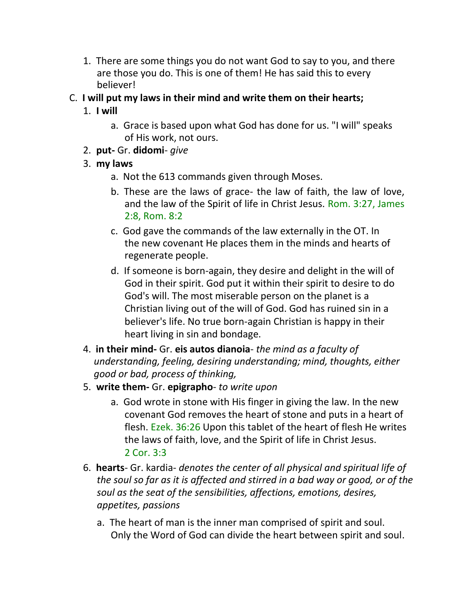- 1. There are some things you do not want God to say to you, and there are those you do. This is one of them! He has said this to every believer!
- C. **I will put my laws in their mind and write them on their hearts;**

# 1. **I will**

- a. Grace is based upon what God has done for us. "I will" speaks of His work, not ours.
- 2. **put-** Gr. **didomi** *give*
- 3. **my laws**
	- a. Not the 613 commands given through Moses.
	- b. These are the laws of grace- the law of faith, the law of love, and the law of the Spirit of life in Christ Jesus. Rom. 3:27, James 2:8, Rom. 8:2
	- c. God gave the commands of the law externally in the OT. In the new covenant He places them in the minds and hearts of regenerate people.
	- d. If someone is born-again, they desire and delight in the will of God in their spirit. God put it within their spirit to desire to do God's will. The most miserable person on the planet is a Christian living out of the will of God. God has ruined sin in a believer's life. No true born-again Christian is happy in their heart living in sin and bondage.
- 4. **in their mind-** Gr. **eis autos dianoia** *the mind as a faculty of understanding, feeling, desiring understanding; mind, thoughts, either good or bad, process of thinking,*
- 5. **write them-** Gr. **epigrapho** *to write upon*
	- a. God wrote in stone with His finger in giving the law. In the new covenant God removes the heart of stone and puts in a heart of flesh. Ezek. 36:26 Upon this tablet of the heart of flesh He writes the laws of faith, love, and the Spirit of life in Christ Jesus. 2 Cor. 3:3
- 6. **hearts** Gr. kardia- *denotes the center of all physical and spiritual life of the soul so far as it is affected and stirred in a bad way or good, or of the soul as the seat of the sensibilities, affections, emotions, desires, appetites, passions*
	- a. The heart of man is the inner man comprised of spirit and soul. Only the Word of God can divide the heart between spirit and soul.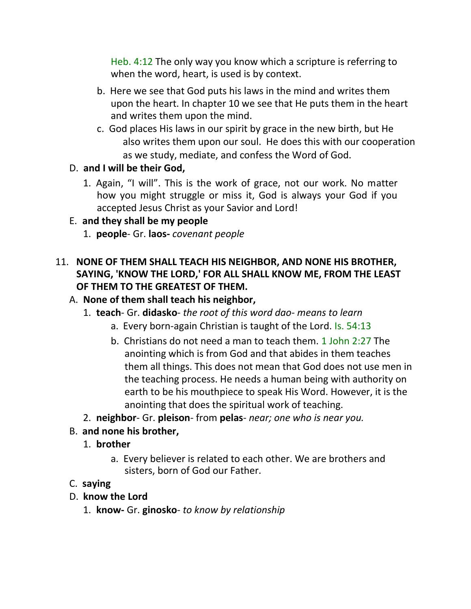Heb. 4:12 The only way you know which a scripture is referring to when the word, heart, is used is by context.

- b. Here we see that God puts his laws in the mind and writes them upon the heart. In chapter 10 we see that He puts them in the heart and writes them upon the mind.
- c. God places His laws in our spirit by grace in the new birth, but He also writes them upon our soul. He does this with our cooperation as we study, mediate, and confess the Word of God.

### D. **and I will be their God,**

1. Again, "I will". This is the work of grace, not our work. No matter how you might struggle or miss it, God is always your God if you accepted Jesus Christ as your Savior and Lord!

### E. **and they shall be my people**

1. **people**- Gr. **laos-** *covenant people*

### 11. **NONE OF THEM SHALL TEACH HIS NEIGHBOR, AND NONE HIS BROTHER, SAYING, 'KNOW THE LORD,' FOR ALL SHALL KNOW ME, FROM THE LEAST OF THEM TO THE GREATEST OF THEM.**

#### A. **None of them shall teach his neighbor,**

- 1. **teach** Gr. **didasko** *the root of this word dao- means to learn*
	- a. Every born-again Christian is taught of the Lord. Is. 54:13
	- b. Christians do not need a man to teach them. 1 John 2:27 The anointing which is from God and that abides in them teaches them all things. This does not mean that God does not use men in the teaching process. He needs a human being with authority on earth to be his mouthpiece to speak His Word. However, it is the anointing that does the spiritual work of teaching.
- 2. **neighbor** Gr. **pleison** from **pelas** *near; one who is near you.*

### B. **and none his brother,**

- 1. **brother**
	- a. Every believer is related to each other. We are brothers and sisters, born of God our Father.

#### C. **saying**

- D. **know the Lord**
	- 1. **know-** Gr. **ginosko** *to know by relationship*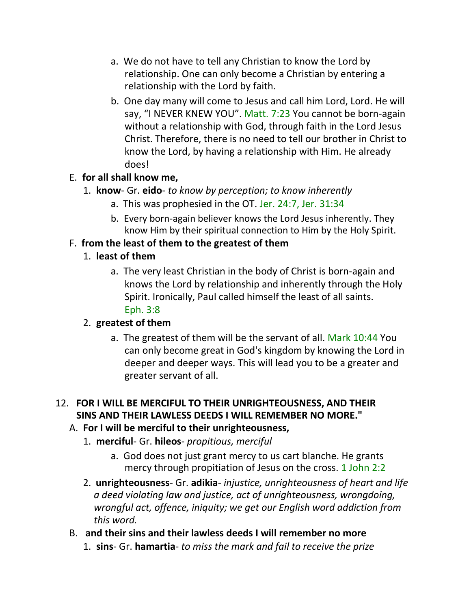- a. We do not have to tell any Christian to know the Lord by relationship. One can only become a Christian by entering a relationship with the Lord by faith.
- b. One day many will come to Jesus and call him Lord, Lord. He will say, "I NEVER KNEW YOU". Matt. 7:23 You cannot be born-again without a relationship with God, through faith in the Lord Jesus Christ. Therefore, there is no need to tell our brother in Christ to know the Lord, by having a relationship with Him. He already does!

### E. **for all shall know me,**

- 1. **know** Gr. **eido** *to know by perception; to know inherently*
	- a. This was prophesied in the OT. Jer. 24:7, Jer. 31:34
	- b. Every born-again believer knows the Lord Jesus inherently. They know Him by their spiritual connection to Him by the Holy Spirit.

## F. **from the least of them to the greatest of them**

- 1. **least of them**
	- a. The very least Christian in the body of Christ is born-again and knows the Lord by relationship and inherently through the Holy Spirit. Ironically, Paul called himself the least of all saints. Eph. 3:8

# 2. **greatest of them**

a. The greatest of them will be the servant of all. Mark 10:44 You can only become great in God's kingdom by knowing the Lord in deeper and deeper ways. This will lead you to be a greater and greater servant of all.

## 12. **FOR I WILL BE MERCIFUL TO THEIR UNRIGHTEOUSNESS, AND THEIR SINS AND THEIR LAWLESS DEEDS I WILL REMEMBER NO MORE."**

# A. **For I will be merciful to their unrighteousness,**

- 1. **merciful** Gr. **hileos** *propitious, merciful*
	- a. God does not just grant mercy to us cart blanche. He grants mercy through propitiation of Jesus on the cross. 1 John 2:2
- 2. **unrighteousness** Gr. **adikia** *injustice, unrighteousness of heart and life a deed violating law and justice, act of unrighteousness, wrongdoing, wrongful act, offence, iniquity; we get our English word addiction from this word.*

### B. **and their sins and their lawless deeds I will remember no more**

1. **sins**- Gr. **hamartia**- *to miss the mark and fail to receive the prize*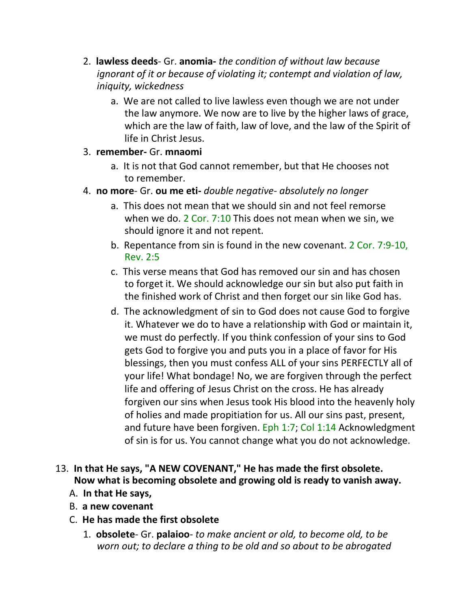- 2. **lawless deeds** Gr. **anomia-** *the condition of without law because ignorant of it or because of violating it; contempt and violation of law, iniquity, wickedness*
	- a. We are not called to live lawless even though we are not under the law anymore. We now are to live by the higher laws of grace, which are the law of faith, law of love, and the law of the Spirit of life in Christ Jesus.

#### 3. **remember-** Gr. **mnaomi**

- a. It is not that God cannot remember, but that He chooses not to remember.
- 4. **no more** Gr. **ou me eti-** *double negative- absolutely no longer*
	- a. This does not mean that we should sin and not feel remorse when we do. 2 Cor. 7:10 This does not mean when we sin, we should ignore it and not repent.
	- b. Repentance from sin is found in the new covenant. 2 Cor. 7:9-10, Rev. 2:5
	- c. This verse means that God has removed our sin and has chosen to forget it. We should acknowledge our sin but also put faith in the finished work of Christ and then forget our sin like God has.
	- d. The acknowledgment of sin to God does not cause God to forgive it. Whatever we do to have a relationship with God or maintain it, we must do perfectly. If you think confession of your sins to God gets God to forgive you and puts you in a place of favor for His blessings, then you must confess ALL of your sins PERFECTLY all of your life! What bondage! No, we are forgiven through the perfect life and offering of Jesus Christ on the cross. He has already forgiven our sins when Jesus took His blood into the heavenly holy of holies and made propitiation for us. All our sins past, present, and future have been forgiven. Eph 1:7; Col 1:14 Acknowledgment of sin is for us. You cannot change what you do not acknowledge.

# 13. **In that He says, "A NEW COVENANT," He has made the first obsolete. Now what is becoming obsolete and growing old is ready to vanish away.**

- A. **In that He says,**
- B. **a new covenant**
- C. **He has made the first obsolete**
	- 1. **obsolete** Gr. **palaioo** *to make ancient or old, to become old, to be worn out; to declare a thing to be old and so about to be abrogated*